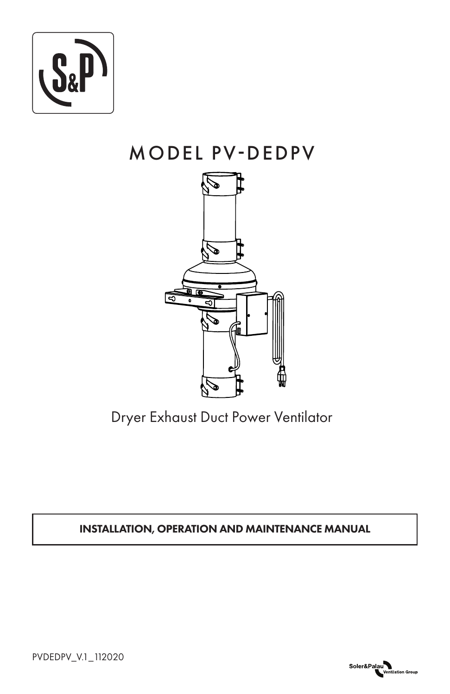

# MODEL PV-DEDPV



Dryer Exhaust Duct Power Ventilator

INSTALLATION, OPERATION AND MAINTENANCE MANUAL



PVDEDPV\_V.1\_112020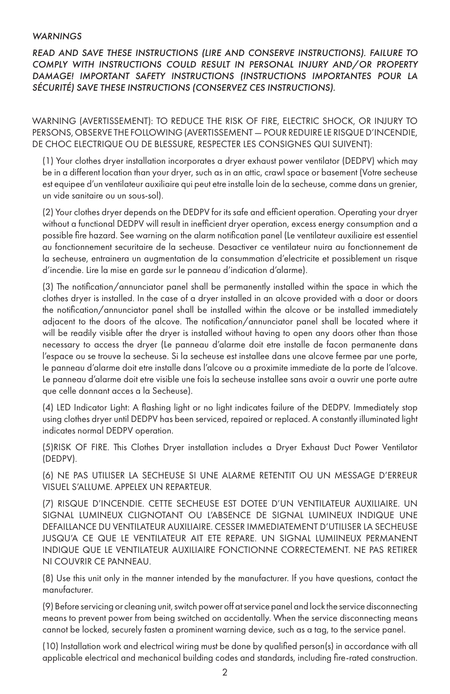#### *WARNINGS*

*READ AND SAVE THESE INSTRUCTIONS (LIRE AND CONSERVE INSTRUCTIONS). FAILURE TO COMPLY WITH INSTRUCTIONS COULD RESULT IN PERSONAL INJURY AND/OR PROPERTY DAMAGE! IMPORTANT SAFETY INSTRUCTIONS (INSTRUCTIONS IMPORTANTES POUR LA SÉCURITÉ) SAVE THESE INSTRUCTIONS (CONSERVEZ CES INSTRUCTIONS).*

WARNING (AVERTISSEMENT): TO REDUCE THE RISK OF FIRE, ELECTRIC SHOCK, OR INJURY TO PERSONS, OBSERVE THE FOLLOWING (AVERTISSEMENT — POUR REDUIRE LE RISQUE D'INCENDIE, DE CHOC ELECTRIQUE OU DE BLESSURE, RESPECTER LES CONSIGNES QUI SUIVENT):

(1) Your clothes dryer installation incorporates a dryer exhaust power ventilator (DEDPV) which may be in a different location than your dryer, such as in an attic, crawl space or basement (Votre secheuse est equipee d'un ventilateur auxiliaire qui peut etre installe loin de la secheuse, comme dans un grenier, un vide sanitaire ou un sous-sol).

(2) Your clothes dryer depends on the DEDPV for its safe and efficient operation. Operating your dryer without a functional DEDPV will result in inefficient dryer operation, excess energy consumption and a possible fire hazard. See warning on the alarm notification panel (Le ventilateur auxiliaire est essentiel au fonctionnement securitaire de la secheuse. Desactiver ce ventilateur nuira au fonctionnement de la secheuse, entrainera un augmentation de la consummation d'electricite et possiblement un risque d'incendie. Lire la mise en garde sur le panneau d'indication d'alarme).

(3) The notification/annunciator panel shall be permanently installed within the space in which the clothes dryer is installed. In the case of a dryer installed in an alcove provided with a door or doors the notification/annunciator panel shall be installed within the alcove or be installed immediately adjacent to the doors of the alcove. The notification/annunciator panel shall be located where it will be readily visible after the dryer is installed without having to open any doors other than those necessary to access the dryer (Le panneau d'alarme doit etre installe de facon permanente dans l'espace ou se trouve la secheuse. Si la secheuse est installee dans une alcove fermee par une porte, le panneau d'alarme doit etre installe dans l'alcove ou a proximite immediate de la porte de l'alcove. Le panneau d'alarme doit etre visible une fois la secheuse installee sans avoir a ouvrir une porte autre que celle donnant acces a la Secheuse).

(4) LED Indicator Light: A flashing light or no light indicates failure of the DEDPV. Immediately stop using clothes dryer until DEDPV has been serviced, repaired or replaced. A constantly illuminated light indicates normal DEDPV operation.

(5)RISK OF FIRE. This Clothes Dryer installation includes a Dryer Exhaust Duct Power Ventilator (DEDPV).

(6) NE PAS UTILISER LA SECHEUSE SI UNE ALARME RETENTIT OU UN MESSAGE D'ERREUR VISUEL S'ALLUME. APPELEX UN REPARTEUR.

(7) RISQUE D'INCENDIE. CETTE SECHEUSE EST DOTEE D'UN VENTILATEUR AUXILIAIRE. UN SIGNAL LUMINEUX CLIGNOTANT OU L'ABSENCE DE SIGNAL LUMINEUX INDIQUE UNE DEFAILLANCE DU VENTILATEUR AUXILIAIRE. CESSER IMMEDIATEMENT D'UTILISER LA SECHEUSE JUSQU'A CE QUE LE VENTILATEUR AIT ETE REPARE. UN SIGNAL LUMIINEUX PERMANENT INDIQUE QUE LE VENTILATEUR AUXILIAIRE FONCTIONNE CORRECTEMENT. NE PAS RETIRER NI COUVRIR CE PANNEAU.

(8) Use this unit only in the manner intended by the manufacturer. If you have questions, contact the manufacturer.

(9) Before servicing or cleaning unit, switch power off at service panel and lock the service disconnecting means to prevent power from being switched on accidentally. When the service disconnecting means cannot be locked, securely fasten a prominent warning device, such as a tag, to the service panel.

(10) Installation work and electrical wiring must be done by qualified person(s) in accordance with all applicable electrical and mechanical building codes and standards, including fire-rated construction.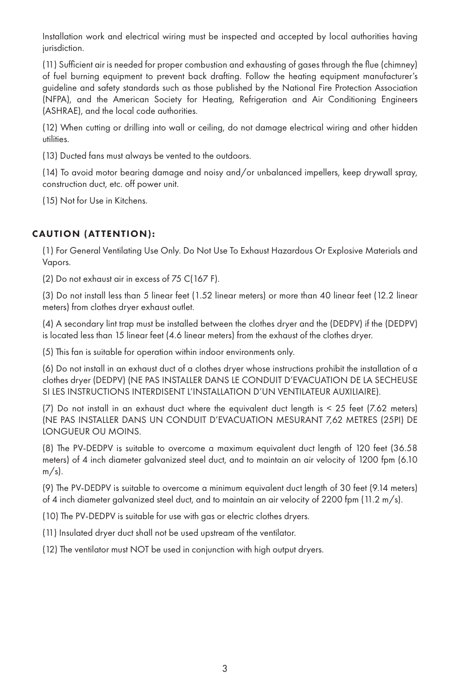Installation work and electrical wiring must be inspected and accepted by local authorities having jurisdiction.

(11) Sufficient air is needed for proper combustion and exhausting of gases through the flue (chimney) of fuel burning equipment to prevent back drafting. Follow the heating equipment manufacturer's guideline and safety standards such as those published by the National Fire Protection Association (NFPA), and the American Society for Heating, Refrigeration and Air Conditioning Engineers (ASHRAE), and the local code authorities.

(12) When cutting or drilling into wall or ceiling, do not damage electrical wiring and other hidden utilities.

(13) Ducted fans must always be vented to the outdoors.

(14) To avoid motor bearing damage and noisy and/or unbalanced impellers, keep drywall spray, construction duct, etc. off power unit.

(15) Not for Use in Kitchens.

# CAUTION (ATTENTION):

(1) For General Ventilating Use Only. Do Not Use To Exhaust Hazardous Or Explosive Materials and Vapors.

(2) Do not exhaust air in excess of 75 C(167 F).

(3) Do not install less than 5 linear feet (1.52 linear meters) or more than 40 linear feet (12.2 linear meters) from clothes dryer exhaust outlet.

(4) A secondary lint trap must be installed between the clothes dryer and the (DEDPV) if the (DEDPV) is located less than 15 linear feet (4.6 linear meters) from the exhaust of the clothes dryer.

(5) This fan is suitable for operation within indoor environments only.

(6) Do not install in an exhaust duct of a clothes dryer whose instructions prohibit the installation of a clothes dryer (DEDPV) (NE PAS INSTALLER DANS LE CONDUIT D'EVACUATION DE LA SECHEUSE SI LES INSTRUCTIONS INTERDISENT L'INSTALLATION D'UN VENTILATEUR AUXILIAIRE).

(7) Do not install in an exhaust duct where the equivalent duct length is < 25 feet (7.62 meters) (NE PAS INSTALLER DANS UN CONDUIT D'EVACUATION MESURANT 7,62 METRES (25PI) DE LONGUEUR OU MOINS.

(8) The PV-DEDPV is suitable to overcome a maximum equivalent duct length of 120 feet (36.58 meters) of 4 inch diameter galvanized steel duct, and to maintain an air velocity of 1200 fpm (6.10  $m/s$ ).

(9) The PV-DEDPV is suitable to overcome a minimum equivalent duct length of 30 feet (9.14 meters) of 4 inch diameter galvanized steel duct, and to maintain an air velocity of 2200 fpm (11.2 m/s).

(10) The PV-DEDPV is suitable for use with gas or electric clothes dryers.

(11) Insulated dryer duct shall not be used upstream of the ventilator.

(12) The ventilator must NOT be used in conjunction with high output dryers.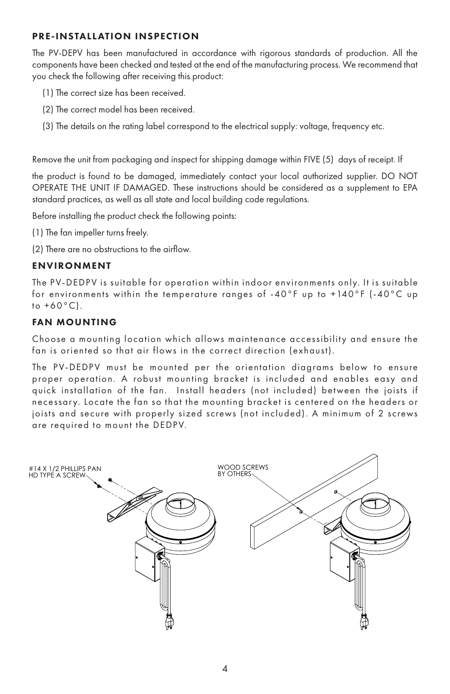# PRE-INSTALLATION INSPECTION

The PV-DEPV has been manufactured in accordance with rigorous standards of production. All the components have been checked and tested at the end of the manufacturing process. We recommend that you check the following after receiving this product:

- (1) The correct size has been received.
- (2) The correct model has been received.
- (3) The details on the rating label correspond to the electrical supply: voltage, frequency etc.

Remove the unit from packaging and inspect for shipping damage within FIVE (5) days of receipt. If

the product is found to be damaged, immediately contact your local authorized supplier. DO NOT OPERATE THE UNIT IF DAMAGED. These instructions should be considered as a supplement to EPA standard practices, as well as all state and local building code regulations.

Before installing the product check the following points:

- (1) The fan impeller turns freely.
- (2) There are no obstructions to the airflow.

# **ENVIRONMENT**

The PV-DEDPV is suitable for operation within indoor environments only. It is suitable for environments within the temperature ranges of -40°F up to +140°F (-40°C up to +60°C).

# FAN MOUNTING

Choose a mounting location which allows maintenance accessibility and ensure the fan is oriented so that air flows in the correct direction (exhaust).

The PV-DEDPV must be mounted per the orientation diagrams below to ensure proper operation. A robust mounting bracket is included and enables easy and quick installation of the fan. Install headers (not included) bet ween the joists if necessary. Locate the fan so that the mounting bracket is centered on the headers or joists and secure with properly sized screws (not included). A minimum of 2 screws are required to mount the DEDPV.

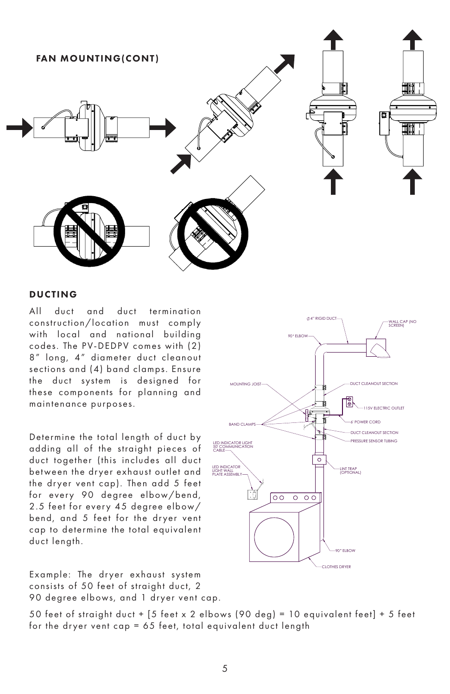

#### DUCTING

All duct and duct termination construction/location must comply with local and national building codes. The PV-DEDPV comes with (2) 8" long, 4" diameter duct cleanout sections and (4) band clamps. Ensure the duct system is designed for these components for planning and maintenance purposes.

Determine the total length of duct by adding all of the straight pieces of duct together (this includes all duct bet ween the dr yer exhaust outlet and the dryer vent cap). Then add 5 feet for every 90 degree elbow/bend, 2.5 feet for every 45 degree elbow/ bend, and 5 feet for the dryer vent cap to determine the total equivalent duct length.

Example: The dryer exhaust system consists of 50 feet of straight duct, 2 90 degree elbows, and 1 dryer vent cap.

**TING JOIST** T CLEANOUT SECTION B. 115V ELECTRIC OUTLET 6' POWER CORD BAND CLAMPS DUCT CLEANOUT SECTION PRESSURE SENSOR TUBING LED INDICATOR LIGHT 50' COMMUNICATION CABLE  $\circ$ LED INDICATOR LINT TRAP (OPTIONAL) LIGHT WALL PLATE ASSEMBLY  $\overline{\circ \circ}$  $\overline{\circ}$  $\circ$ 90 ELBOW CLOTHES DRYER

4" RIGID DUCT

90 ELBOW

WALL CAP (NO SCREEN)

50 feet of straight duct + [5 feet x 2 elbows (90 deg) = 10 equivalent feet] + 5 feet for the dryer vent cap = 65 feet, total equivalent duct length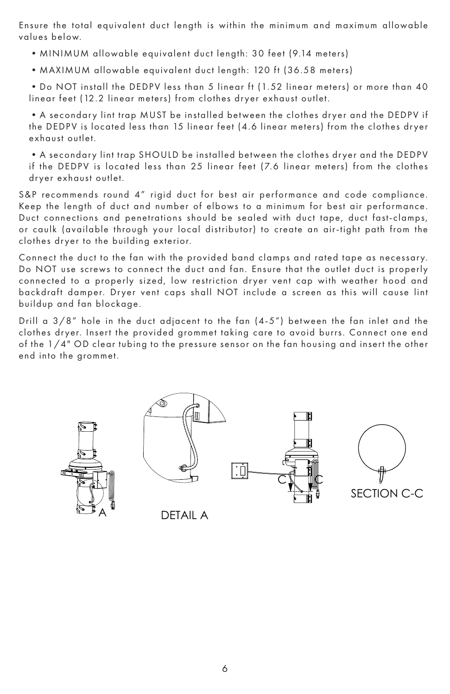Ensure the total equivalent duct length is within the minimum and maximum allowable values below.

- •MINIMUM allowable equivalent duct length: 30 feet (9.14 meters)
- MAXIMUM allowable equivalent duct length: 120 ft (36.58 meters)

• Do NOT install the DEDPV less than 5 linear ft (1.52 linear meters) or more than 40 linear feet (12.2 linear meters) from clothes dryer exhaust outlet.

• A secondary lint trap MUST be installed between the clothes dryer and the DEDPV if the DEDPV is located less than 15 linear feet (4.6 linear meters) from the clothes dryer exhaust outlet.

• A secondary lint trap SHOULD be installed between the clothes dryer and the DEDPV if the DEDPV is located less than 25 linear feet (7.6 linear meters) from the clothes dryer exhaust outlet.

S&P recommends round 4" rigid duct for best air performance and code compliance. Keep the length of duct and number of elbows to a minimum for best air performance. Duct connections and penetrations should be sealed with duct tape, duct fast-clamps, or caulk (available through your local distributor) to create an air-tight path from the clothes dryer to the building exterior.

Connect the duct to the fan with the provided band clamps and rated tape as necessar y. Do NOT use screws to connect the duct and fan. Ensure that the outlet duct is properly connected to a properly sized, low restriction dryer vent cap with weather hood and backdraft damper. Dryer vent caps shall NOT include a screen as this will cause lint buildup and fan blockage.

Drill a 3/8" hole in the duct adjacent to the fan (4-5") bet ween the fan inlet and the clothes dryer. Insert the provided grommet taking care to avoid burrs. Connect one end of the 1/4" OD clear tubing to the pressure sensor on the fan housing and insert the other end into the grommet.









**DETAIL A**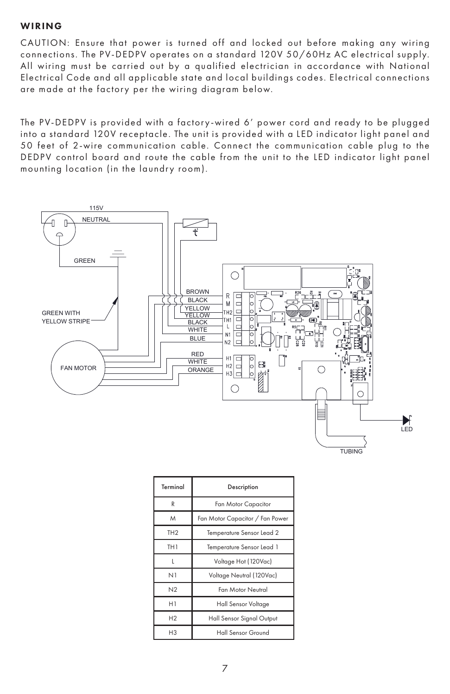#### WIRING

CAUTION: Ensure that power is turned off and locked out before making any wiring connections. The PV-DEDPV operates on a standard 120V 50/60Hz AC electrical supply. All wiring must be carried out by a qualified electrician in accordance with National Electrical Code and all applicable state and local buildings codes. Electrical connections are made at the factory per the wiring diagram below.

The PV-DEDPV is provided with a factory-wired 6' power cord and ready to be plugged into a standard 120V receptacle. The unit is provided with a LED indicator light panel and 50 feet of 2-wire communication cable. Connect the communication cable plug to the DEDPV control board and route the cable from the unit to the LED indicator light panel mounting location (in the laundry room).



| Terminal        | Description                     |  |
|-----------------|---------------------------------|--|
| R               | Fan Motor Capacitor             |  |
| M               | Fan Motor Capacitor / Fan Power |  |
| TH <sub>2</sub> | Temperature Sensor Lead 2       |  |
| TH <sub>1</sub> | Temperature Sensor Lead 1       |  |
| ı               | Voltage Hot (120Vac)            |  |
| N1              | Voltage Neutral (120Vac)        |  |
| N <sub>2</sub>  | <b>Fan Motor Neutral</b>        |  |
| H1              | Hall Sensor Voltage             |  |
| H <sub>2</sub>  | Hall Sensor Signal Output       |  |
| H <sub>3</sub>  | Hall Sensor Ground              |  |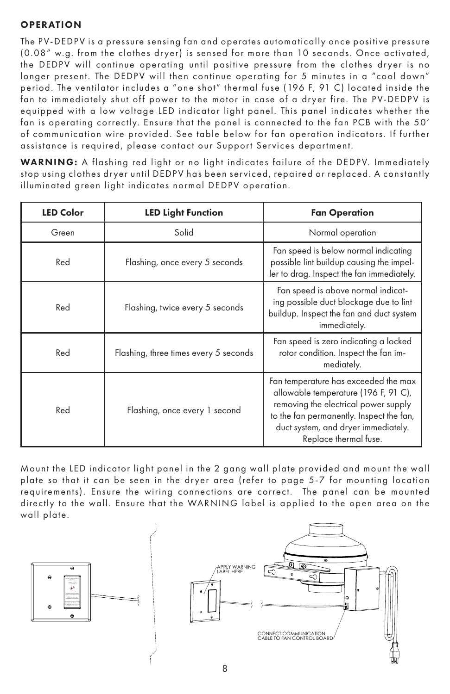# **OPERATION**

The PV-DEDPV is a pressure sensing fan and operates automatically once positive pressure (0.08" w.g. from the clothes dryer) is sensed for more than 10 seconds. Once activated, the DEDPV will continue operating until positive pressure from the clothes dryer is no longer present. The DEDPV will then continue operating for 5 minutes in a "cool down" period. The ventilator includes a "one shot" thermal fuse (196 F, 91 C) located inside the fan to immediately shut off power to the motor in case of a dryer fire. The PV-DEDPV is equipped with a low voltage LED indicator light panel. This panel indicates whether the fan is operating correctly. Ensure that the panel is connected to the fan PCB with the 50' of communication wire provided. See table below for fan operation indicators. If further assistance is required, please contact our Support Services department.

WARNING: A flashing red light or no light indicates failure of the DEDPV. Immediately stop using clothes dryer until DEDPV has been serviced, repaired or replaced. A constantly illuminated green light indicates normal DEDPV operation.

| <b>LED Color</b> | <b>LED Light Function</b>             | <b>Fan Operation</b>                                                                                                                                                                                                             |
|------------------|---------------------------------------|----------------------------------------------------------------------------------------------------------------------------------------------------------------------------------------------------------------------------------|
| Green            | Solid                                 | Normal operation                                                                                                                                                                                                                 |
| Red              | Flashing, once every 5 seconds        | Fan speed is below normal indicating<br>possible lint buildup causing the impel-<br>ler to drag. Inspect the fan immediately.                                                                                                    |
| Red              | Flashing, twice every 5 seconds       | Fan speed is above normal indicat-<br>ing possible duct blockage due to lint<br>buildup. Inspect the fan and duct system<br>immediately.                                                                                         |
| Red              | Flashing, three times every 5 seconds | Fan speed is zero indicating a locked<br>rotor condition. Inspect the fan im-<br>mediately.                                                                                                                                      |
| Red              | Flashing, once every 1 second         | Fan temperature has exceeded the max<br>allowable temperature (196 F, 91 C),<br>removing the electrical power supply<br>to the fan permanently. Inspect the fan,<br>duct system, and dryer immediately.<br>Replace thermal fuse. |

Mount the LED indicator light panel in the 2 gang wall plate provided and mount the wall plate so that it can be seen in the dryer area (refer to page 5-7 for mounting location requirements). Ensure the wiring connections are correct. The panel can be mounted directly to the wall. Ensure that the WARNING label is applied to the open area on the wall plate.

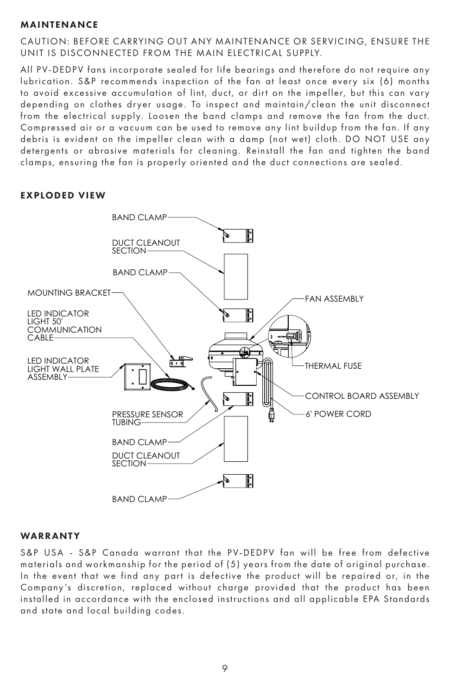# MAINTENANCE

CAUTION: BEFORE CARRYING OUT ANY MAINTENANCE OR SERVICING, ENSURE THE UNIT IS DISCONNECTED FROM THE MAIN ELECTRICAL SUPPLY.

All PV-DEDPV fans incorporate sealed for life bearings and therefore do not require any lubrication. S&P recommends inspection of the fan at least once every six (6) months to avoid excessive accumulation of lint, duct, or dirt on the impeller, but this can vary depending on clothes dryer usage. To inspect and maintain/clean the unit disconnect from the electrical supply. Loosen the band clamps and remove the fan from the duct. Compressed air or a vacuum can be used to remove any lint buildup from the fan. If any debris is evident on the impeller clean with a damp (not wet) cloth. DO NOT USE any detergents or abrasive materials for cleaning. Reinstall the fan and tighten the band clamps, ensuring the fan is properly oriented and the duct connections are sealed.



# EXPLODED VIEW

#### WARRANTY

S&P USA - S&P Canada warrant that the PV-DEDPV fan will be free from defective materials and workmanship for the period of (5) years from the date of original purchase. In the event that we find any part is defective the product will be repaired or, in the Company 's discretion, replaced without charge provided that the product has been installed in accordance with the enclosed instructions and all applicable EPA Standards and state and local building codes.